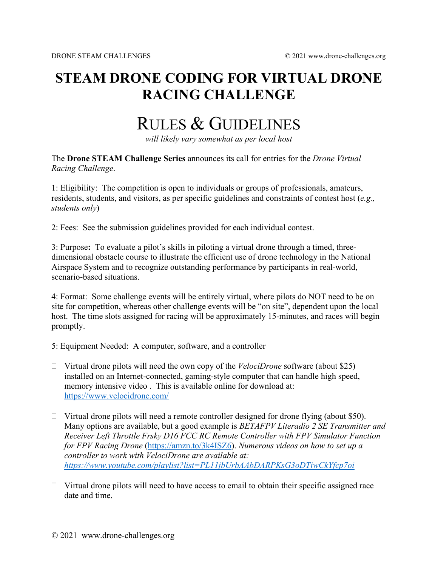## **STEAM DRONE CODING FOR VIRTUAL DRONE RACING CHALLENGE**

## RULES & GUIDELINES

*will likely vary somewhat as per local host*

The **Drone STEAM Challenge Series** announces its call for entries for the *Drone Virtual Racing Challenge*.

1: Eligibility: The competition is open to individuals or groups of professionals, amateurs, residents, students, and visitors, as per specific guidelines and constraints of contest host (*e.g., students only*)

2: Fees: See the submission guidelines provided for each individual contest.

3: Purpose**:** To evaluate a pilot's skills in piloting a virtual drone through a timed, threedimensional obstacle course to illustrate the efficient use of drone technology in the National Airspace System and to recognize outstanding performance by participants in real-world, scenario-based situations.

4: Format: Some challenge events will be entirely virtual, where pilots do NOT need to be on site for competition, whereas other challenge events will be "on site", dependent upon the local host. The time slots assigned for racing will be approximately 15-minutes, and races will begin promptly.

5: Equipment Needed: A computer, software, and a controller

- Virtual drone pilots will need the own copy of the *VelociDrone* software (about \$25) installed on an Internet-connected, gaming-style computer that can handle high speed, memory intensive video . This is available online for download at: <https://www.velocidrone.com/>
- $\Box$  Virtual drone pilots will need a remote controller designed for drone flying (about \$50). Many options are available, but a good example is *BETAFPV Literadio 2 SE Transmitter and Receiver Left Throttle Frsky D16 FCC RC Remote Controller with FPV Simulator Function for FPV Racing Drone* [\(https://amzn.to/3k4ISZ6\)](https://amzn.to/3k4ISZ6). *Numerous videos on how to set up a controller to work with VelociDrone are available at: <https://www.youtube.com/playlist?list=PL11jbUrbAAbDARPKsG3oDTiwCkYfcp7oi>*
- $\Box$  Virtual drone pilots will need to have access to email to obtain their specific assigned race date and time.